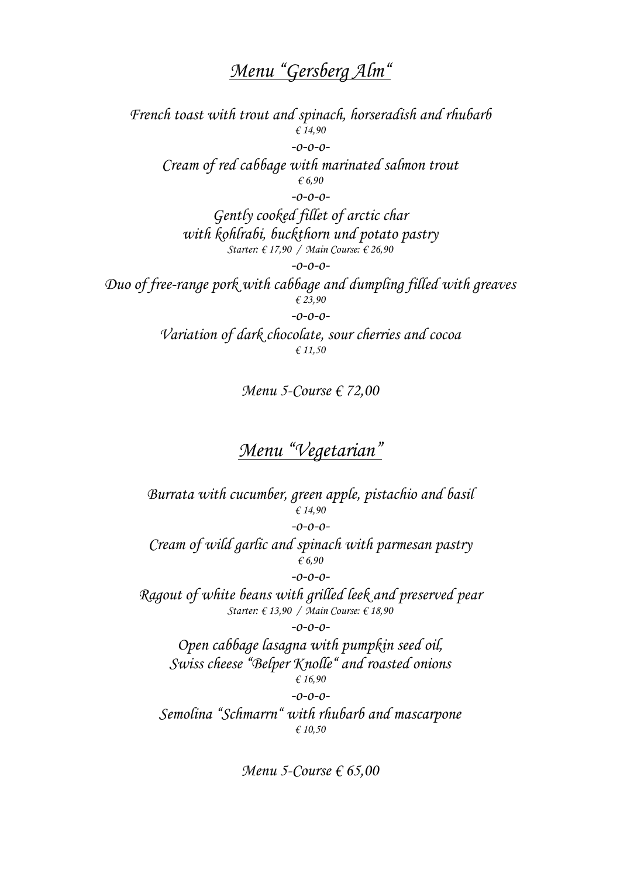# *Menu "Gersberg Alm"*

*French toast with trout and spinach, horseradish and rhubarb € 14,90 -o-o-o-Cream of red cabbage with marinated salmon trout € 6,90 -o-o-o-Gently cooked fillet of arctic char with kohlrabi, buckthorn und potato pastry Starter: € 17,90 / Main Course: € 26,90 -o-o-o-Duo of free-range pork with cabbage and dumpling filled with greaves € 23,90 -o-o-o-Variation of dark chocolate, sour cherries and cocoa € 11,50*

*Menu 5-Course € 72,00*

## *Menu "Vegetarian"*

*Burrata with cucumber, green apple, pistachio and basil € 14,90 -o-o-o-Cream of wild garlic and spinach with parmesan pastry € 6,90 -o-o-o-Ragout of white beans with grilled leek and preserved pear Starter: € 13,90 / Main Course: € 18,90 -o-o-o-Open cabbage lasagna with pumpkin seed oil, Swiss cheese "Belper Knolle" and roasted onions € 16,90 -o-o-o-Semolina "Schmarrn" with rhubarb and mascarpone*

*€ 10,50*

*Menu 5-Course € 65,00*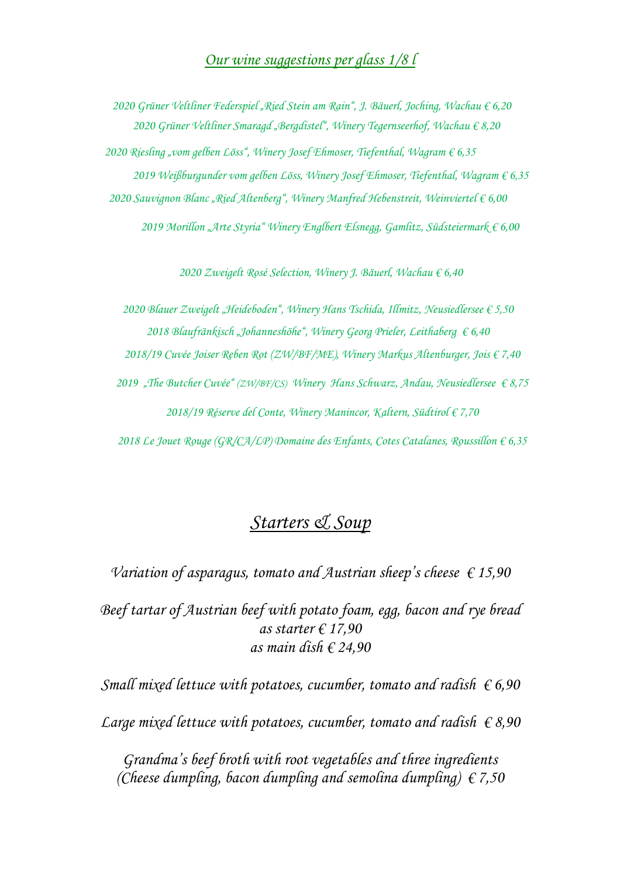#### *Our wine suggestions per glass 1/8 l*

 *Grüner Veltliner Federspiel "Ried Stein am Rain", J. Bäuerl, Joching, Wachau € 6,20 Grüner Veltliner Smaragd "Bergdistel", Winery Tegernseerhof, Wachau € 8,20 Riesling "vom gelben Löss", Winery Josef Ehmoser, Tiefenthal, Wagram € 6,35 Weißburgunder vom gelben Löss, Winery Josef Ehmoser, Tiefenthal, Wagram € 6,35 Sauvignon Blanc "Ried Altenberg", Winery Manfred Hebenstreit, Weinviertel € 6,00 Morillon "Arte Styria" Winery Englbert Elsnegg, Gamlitz, Südsteiermark € 6,00*

*2020 Zweigelt Rosé Selection, Winery J. Bäuerl, Wachau € 6,40*

*2020 Blauer Zweigelt "Heideboden", Winery Hans Tschida, Illmitz, Neusiedlersee € 5,50 2018 Blaufränkisch "Johanneshöhe", Winery Georg Prieler, Leithaberg € 6,40*

*2018/19 Cuvée Joiser Reben Rot (ZW/BF/ME), Winery Markus Altenburger, Jois € 7,40*

*2019 "The Butcher Cuvée" (ZW/BF/CS) Winery Hans Schwarz, Andau, Neusiedlersee € 8,75 2018/19 Réserve del Conte, Winery Manincor, Kaltern, Südtirol € 7,70*

*2018 Le Jouet Rouge (GR/CA/LP) Domaine des Enfants, Cotes Catalanes, Roussillon € 6,35*

## *Starters & Soup*

*Variation of asparagus, tomato and Austrian sheep's cheese € 15,90*

*Beef tartar of Austrian beef with potato foam, egg, bacon and rye bread as starter € 17,90 as main dish € 24,90*

*Small mixed lettuce with potatoes, cucumber, tomato and radish € 6,90 Large mixed lettuce with potatoes, cucumber, tomato and radish € 8,90*

*Grandma's beef broth with root vegetables and three ingredients (Cheese dumpling, bacon dumpling and semolina dumpling) € 7,50*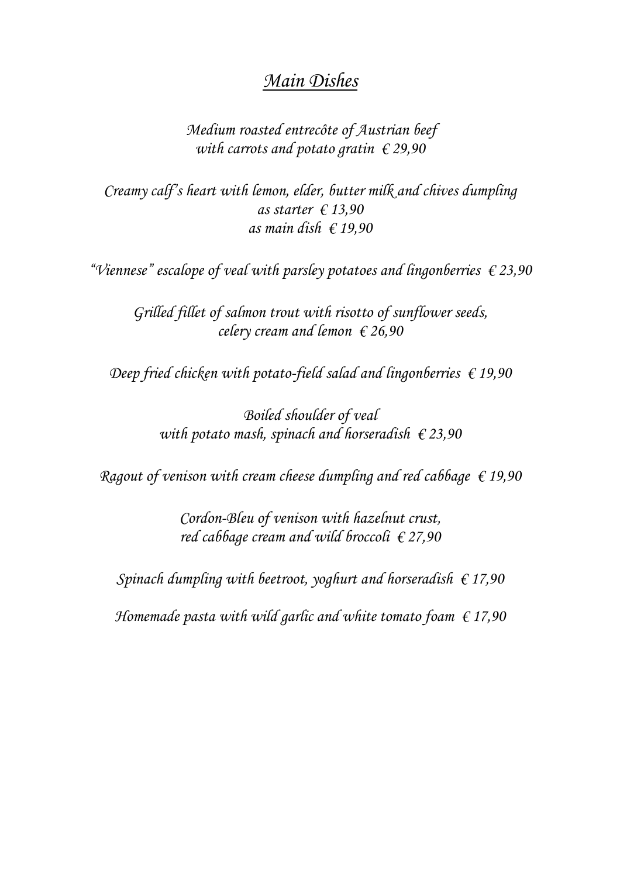### *Main Dishes*

*Medium roasted entrecôte of Austrian beef with carrots and potato gratin € 29,90*

*Creamy calf's heart with lemon, elder, butter milk and chives dumpling as starter € 13,90 as main dish € 19,90*

*"Viennese" escalope of veal with parsley potatoes and lingonberries € 23,90*

*Grilled fillet of salmon trout with risotto of sunflower seeds, celery cream and lemon € 26,90*

*Deep fried chicken with potato-field salad and lingonberries € 19,90*

*Boiled shoulder of veal with potato mash, spinach and horseradish € 23,90*

*Ragout of venison with cream cheese dumpling and red cabbage € 19,90*

*Cordon-Bleu of venison with hazelnut crust, red cabbage cream and wild broccoli € 27,90*

*Spinach dumpling with beetroot, yoghurt and horseradish € 17,90*

*Homemade pasta with wild garlic and white tomato foam € 17,90*